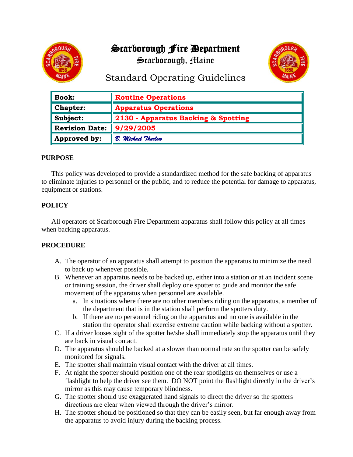# Scarborough Fire Department



Scarborough, Maine



# Standard Operating Guidelines

| $\parallel$ Book:           | Routine Operations                  |
|-----------------------------|-------------------------------------|
| $\blacksquare$ Chapter:     | <b>Apparatus Operations</b>         |
| $\ $ Subject:               | 2130 - Apparatus Backing & Spotting |
| Revision Date:              | 9/29/2005                           |
| $\blacksquare$ Approved by: | B. Michael Thurlow                  |

### **PURPOSE**

This policy was developed to provide a standardized method for the safe backing of apparatus to eliminate injuries to personnel or the public, and to reduce the potential for damage to apparatus, equipment or stations.

## **POLICY**

All operators of Scarborough Fire Department apparatus shall follow this policy at all times when backing apparatus.

### **PROCEDURE**

- A. The operator of an apparatus shall attempt to position the apparatus to minimize the need to back up whenever possible.
- B. Whenever an apparatus needs to be backed up, either into a station or at an incident scene or training session, the driver shall deploy one spotter to guide and monitor the safe movement of the apparatus when personnel are available.
	- a. In situations where there are no other members riding on the apparatus, a member of the department that is in the station shall perform the spotters duty.
	- b. If there are no personnel riding on the apparatus and no one is available in the station the operator shall exercise extreme caution while backing without a spotter.
- C. If a driver looses sight of the spotter he/she shall immediately stop the apparatus until they are back in visual contact.
- D. The apparatus should be backed at a slower than normal rate so the spotter can be safely monitored for signals.
- E. The spotter shall maintain visual contact with the driver at all times.
- F. At night the spotter should position one of the rear spotlights on themselves or use a flashlight to help the driver see them. DO NOT point the flashlight directly in the driver's mirror as this may cause temporary blindness.
- G. The spotter should use exaggerated hand signals to direct the driver so the spotters directions are clear when viewed through the driver's mirror.
- H. The spotter should be positioned so that they can be easily seen, but far enough away from the apparatus to avoid injury during the backing process.